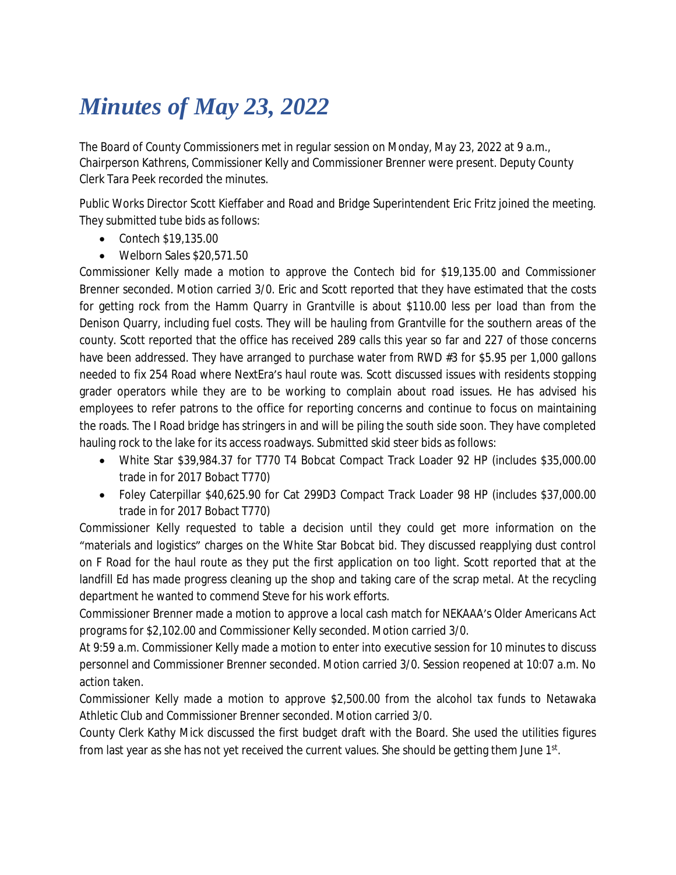## *Minutes of May 23, 2022*

The Board of County Commissioners met in regular session on Monday, May 23, 2022 at 9 a.m., Chairperson Kathrens, Commissioner Kelly and Commissioner Brenner were present. Deputy County Clerk Tara Peek recorded the minutes.

Public Works Director Scott Kieffaber and Road and Bridge Superintendent Eric Fritz joined the meeting. They submitted tube bids as follows:

- Contech \$19,135.00
- Welborn Sales \$20,571.50

Commissioner Kelly made a motion to approve the Contech bid for \$19,135.00 and Commissioner Brenner seconded. Motion carried 3/0. Eric and Scott reported that they have estimated that the costs for getting rock from the Hamm Quarry in Grantville is about \$110.00 less per load than from the Denison Quarry, including fuel costs. They will be hauling from Grantville for the southern areas of the county. Scott reported that the office has received 289 calls this year so far and 227 of those concerns have been addressed. They have arranged to purchase water from RWD #3 for \$5.95 per 1,000 gallons needed to fix 254 Road where NextEra's haul route was. Scott discussed issues with residents stopping grader operators while they are to be working to complain about road issues. He has advised his employees to refer patrons to the office for reporting concerns and continue to focus on maintaining the roads. The I Road bridge has stringers in and will be piling the south side soon. They have completed hauling rock to the lake for its access roadways. Submitted skid steer bids as follows:

- White Star \$39,984.37 for T770 T4 Bobcat Compact Track Loader 92 HP (includes \$35,000.00 trade in for 2017 Bobact T770)
- Foley Caterpillar \$40,625.90 for Cat 299D3 Compact Track Loader 98 HP (includes \$37,000.00 trade in for 2017 Bobact T770)

Commissioner Kelly requested to table a decision until they could get more information on the "materials and logistics" charges on the White Star Bobcat bid. They discussed reapplying dust control on F Road for the haul route as they put the first application on too light. Scott reported that at the landfill Ed has made progress cleaning up the shop and taking care of the scrap metal. At the recycling department he wanted to commend Steve for his work efforts.

Commissioner Brenner made a motion to approve a local cash match for NEKAAA's Older Americans Act programs for \$2,102.00 and Commissioner Kelly seconded. Motion carried 3/0.

At 9:59 a.m. Commissioner Kelly made a motion to enter into executive session for 10 minutes to discuss personnel and Commissioner Brenner seconded. Motion carried 3/0. Session reopened at 10:07 a.m. No action taken.

Commissioner Kelly made a motion to approve \$2,500.00 from the alcohol tax funds to Netawaka Athletic Club and Commissioner Brenner seconded. Motion carried 3/0.

County Clerk Kathy Mick discussed the first budget draft with the Board. She used the utilities figures from last year as she has not yet received the current values. She should be getting them June 1st.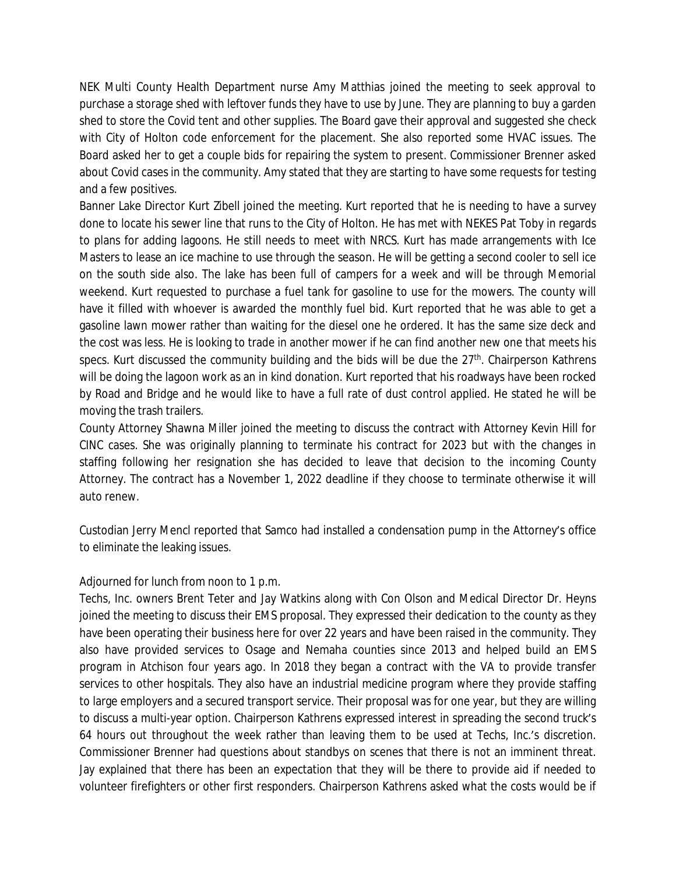NEK Multi County Health Department nurse Amy Matthias joined the meeting to seek approval to purchase a storage shed with leftover funds they have to use by June. They are planning to buy a garden shed to store the Covid tent and other supplies. The Board gave their approval and suggested she check with City of Holton code enforcement for the placement. She also reported some HVAC issues. The Board asked her to get a couple bids for repairing the system to present. Commissioner Brenner asked about Covid cases in the community. Amy stated that they are starting to have some requests for testing and a few positives.

Banner Lake Director Kurt Zibell joined the meeting. Kurt reported that he is needing to have a survey done to locate his sewer line that runs to the City of Holton. He has met with NEKES Pat Toby in regards to plans for adding lagoons. He still needs to meet with NRCS. Kurt has made arrangements with Ice Masters to lease an ice machine to use through the season. He will be getting a second cooler to sell ice on the south side also. The lake has been full of campers for a week and will be through Memorial weekend. Kurt requested to purchase a fuel tank for gasoline to use for the mowers. The county will have it filled with whoever is awarded the monthly fuel bid. Kurt reported that he was able to get a gasoline lawn mower rather than waiting for the diesel one he ordered. It has the same size deck and the cost was less. He is looking to trade in another mower if he can find another new one that meets his specs. Kurt discussed the community building and the bids will be due the 27<sup>th</sup>. Chairperson Kathrens will be doing the lagoon work as an in kind donation. Kurt reported that his roadways have been rocked by Road and Bridge and he would like to have a full rate of dust control applied. He stated he will be moving the trash trailers.

County Attorney Shawna Miller joined the meeting to discuss the contract with Attorney Kevin Hill for CINC cases. She was originally planning to terminate his contract for 2023 but with the changes in staffing following her resignation she has decided to leave that decision to the incoming County Attorney. The contract has a November 1, 2022 deadline if they choose to terminate otherwise it will auto renew.

Custodian Jerry Mencl reported that Samco had installed a condensation pump in the Attorney's office to eliminate the leaking issues.

## Adjourned for lunch from noon to 1 p.m.

Techs, Inc. owners Brent Teter and Jay Watkins along with Con Olson and Medical Director Dr. Heyns joined the meeting to discuss their EMS proposal. They expressed their dedication to the county as they have been operating their business here for over 22 years and have been raised in the community. They also have provided services to Osage and Nemaha counties since 2013 and helped build an EMS program in Atchison four years ago. In 2018 they began a contract with the VA to provide transfer services to other hospitals. They also have an industrial medicine program where they provide staffing to large employers and a secured transport service. Their proposal was for one year, but they are willing to discuss a multi-year option. Chairperson Kathrens expressed interest in spreading the second truck's 64 hours out throughout the week rather than leaving them to be used at Techs, Inc.'s discretion. Commissioner Brenner had questions about standbys on scenes that there is not an imminent threat. Jay explained that there has been an expectation that they will be there to provide aid if needed to volunteer firefighters or other first responders. Chairperson Kathrens asked what the costs would be if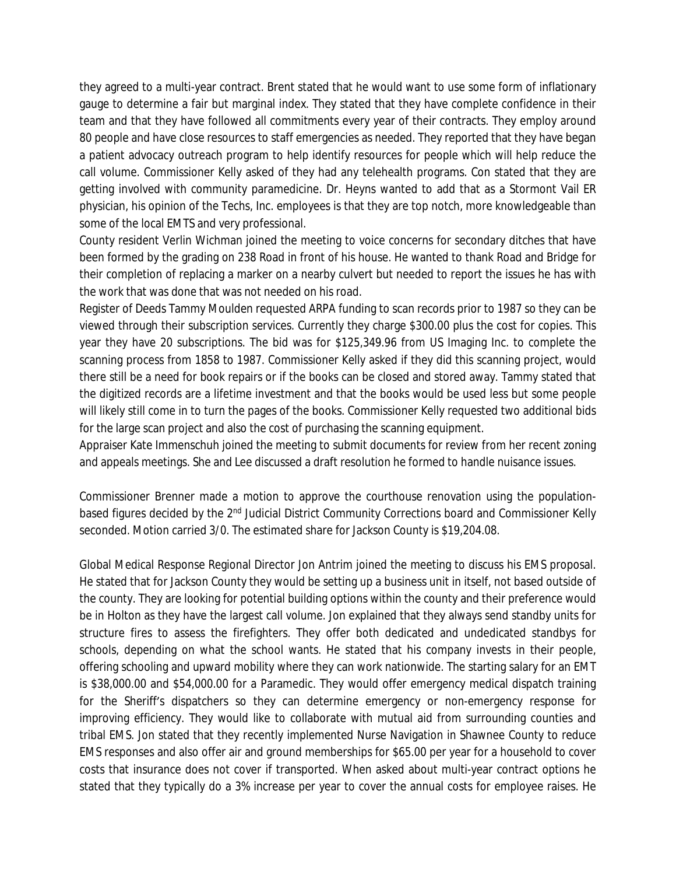they agreed to a multi-year contract. Brent stated that he would want to use some form of inflationary gauge to determine a fair but marginal index. They stated that they have complete confidence in their team and that they have followed all commitments every year of their contracts. They employ around 80 people and have close resources to staff emergencies as needed. They reported that they have began a patient advocacy outreach program to help identify resources for people which will help reduce the call volume. Commissioner Kelly asked of they had any telehealth programs. Con stated that they are getting involved with community paramedicine. Dr. Heyns wanted to add that as a Stormont Vail ER physician, his opinion of the Techs, Inc. employees is that they are top notch, more knowledgeable than some of the local EMTS and very professional.

County resident Verlin Wichman joined the meeting to voice concerns for secondary ditches that have been formed by the grading on 238 Road in front of his house. He wanted to thank Road and Bridge for their completion of replacing a marker on a nearby culvert but needed to report the issues he has with the work that was done that was not needed on his road.

Register of Deeds Tammy Moulden requested ARPA funding to scan records prior to 1987 so they can be viewed through their subscription services. Currently they charge \$300.00 plus the cost for copies. This year they have 20 subscriptions. The bid was for \$125,349.96 from US Imaging Inc. to complete the scanning process from 1858 to 1987. Commissioner Kelly asked if they did this scanning project, would there still be a need for book repairs or if the books can be closed and stored away. Tammy stated that the digitized records are a lifetime investment and that the books would be used less but some people will likely still come in to turn the pages of the books. Commissioner Kelly requested two additional bids for the large scan project and also the cost of purchasing the scanning equipment.

Appraiser Kate Immenschuh joined the meeting to submit documents for review from her recent zoning and appeals meetings. She and Lee discussed a draft resolution he formed to handle nuisance issues.

Commissioner Brenner made a motion to approve the courthouse renovation using the populationbased figures decided by the 2<sup>nd</sup> Judicial District Community Corrections board and Commissioner Kelly seconded. Motion carried 3/0. The estimated share for Jackson County is \$19,204.08.

Global Medical Response Regional Director Jon Antrim joined the meeting to discuss his EMS proposal. He stated that for Jackson County they would be setting up a business unit in itself, not based outside of the county. They are looking for potential building options within the county and their preference would be in Holton as they have the largest call volume. Jon explained that they always send standby units for structure fires to assess the firefighters. They offer both dedicated and undedicated standbys for schools, depending on what the school wants. He stated that his company invests in their people, offering schooling and upward mobility where they can work nationwide. The starting salary for an EMT is \$38,000.00 and \$54,000.00 for a Paramedic. They would offer emergency medical dispatch training for the Sheriff's dispatchers so they can determine emergency or non-emergency response for improving efficiency. They would like to collaborate with mutual aid from surrounding counties and tribal EMS. Jon stated that they recently implemented Nurse Navigation in Shawnee County to reduce EMS responses and also offer air and ground memberships for \$65.00 per year for a household to cover costs that insurance does not cover if transported. When asked about multi-year contract options he stated that they typically do a 3% increase per year to cover the annual costs for employee raises. He